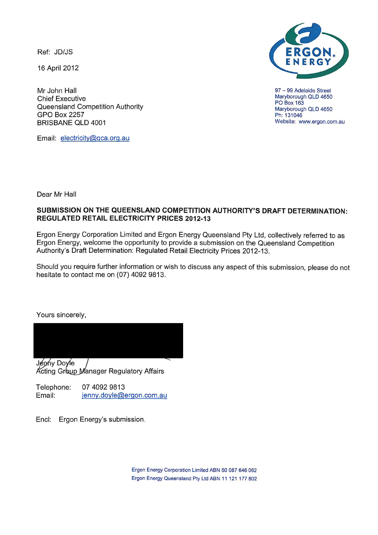Ref: JD/JS

16 April 2012

Mr John Hall **Chief Executive** Queensland Competition Authority **GPO Box 2257 BRISBANE QLD 4001** 

Email: electricity@qca.org.au



97 - 99 Adelaide Street Maryborough QLD 4650 **PO Box 163** Maryborough QLD 4650 Ph: 131046 Website: www.ergon.com.au

Dear Mr Hall

## SUBMISSION ON THE QUEENSLAND COMPETITION AUTHORITY'S DRAFT DETERMINATION: **REGULATED RETAIL ELECTRICITY PRICES 2012-13**

Ergon Energy Corporation Limited and Ergon Energy Queensland Pty Ltd, collectively referred to as Ergon Energy, welcome the opportunity to provide a submission on the Queensland Competition Authority's Draft Determination: Regulated Retail Electricity Prices 2012-13.

Should you require further information or wish to discuss any aspect of this submission, please do not hesitate to contact me on (07) 4092 9813.

Yours sincerely,



Jenny Doyle Acting Group Manager Regulatory Affairs

07 4092 9813 Telephone: Email: jenny.doyle@ergon.com.au

Encl: Ergon Energy's submission.

> Ergon Energy Corporation Limited ABN 50 087 646 062 Ergon Energy Queensland Pty Ltd ABN 11 121 177 802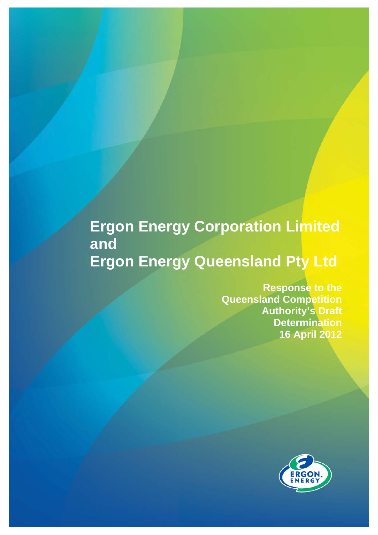# **Ergon Energy Corporation Limited and Ergon Energy Queensland Pty Ltd**

**Response to the Queensland Competition Authority's Draft Determination 16 April 2012**

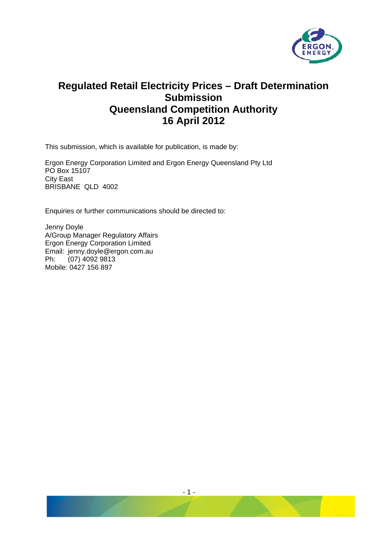

## **Regulated Retail Electricity Prices – Draft Determination Submission Queensland Competition Authority 16 April 2012**

This submission, which is available for publication, is made by:

Ergon Energy Corporation Limited and Ergon Energy Queensland Pty Ltd PO Box 15107 City East BRISBANE QLD 4002

Enquiries or further communications should be directed to:

Jenny Doyle A/Group Manager Regulatory Affairs Ergon Energy Corporation Limited Email: jenny.doyle@ergon.com.au Ph: (07) 4092 9813 Mobile: 0427 156 897

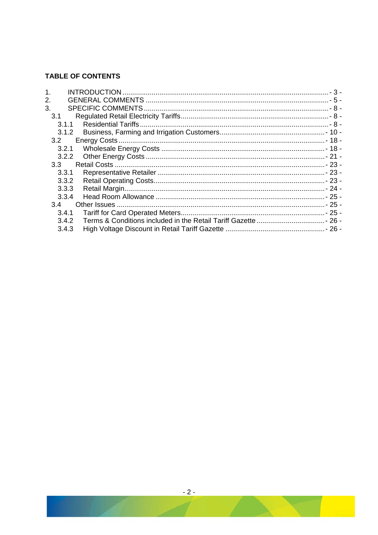## **TABLE OF CONTENTS**

| 1.      |  |
|---------|--|
| 2.      |  |
| 3.      |  |
| 3.1     |  |
| 3.1.1   |  |
| 3.1.2   |  |
| 3.2     |  |
| 3.2.1   |  |
| 3.2.2   |  |
| $3.3 -$ |  |
| 3.3.1   |  |
| 3.3.2   |  |
| 3.3.3   |  |
| 3.3.4   |  |
| 3.4     |  |
| 3.4.1   |  |
| 3.4.2   |  |
| 3.4.3   |  |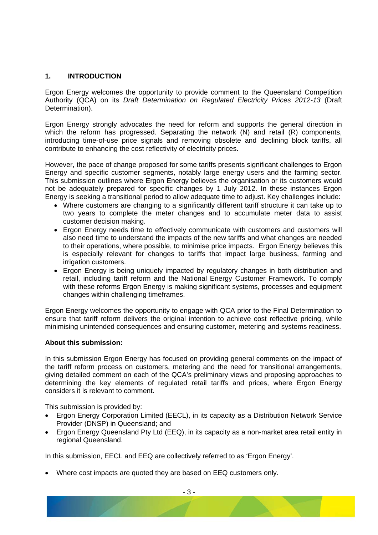## <span id="page-4-0"></span>**1. INTRODUCTION**

Ergon Energy welcomes the opportunity to provide comment to the Queensland Competition Authority (QCA) on its *Draft Determination on Regulated Electricity Prices 2012-13* (Draft Determination).

Ergon Energy strongly advocates the need for reform and supports the general direction in which the reform has progressed. Separating the network (N) and retail (R) components, introducing time-of-use price signals and removing obsolete and declining block tariffs, all contribute to enhancing the cost reflectivity of electricity prices.

However, the pace of change proposed for some tariffs presents significant challenges to Ergon Energy and specific customer segments, notably large energy users and the farming sector. This submission outlines where Ergon Energy believes the organisation or its customers would not be adequately prepared for specific changes by 1 July 2012. In these instances Ergon Energy is seeking a transitional period to allow adequate time to adjust. Key challenges include:

- Where customers are changing to a significantly different tariff structure it can take up to two years to complete the meter changes and to accumulate meter data to assist customer decision making.
- Ergon Energy needs time to effectively communicate with customers and customers will also need time to understand the impacts of the new tariffs and what changes are needed to their operations, where possible, to minimise price impacts. Ergon Energy believes this is especially relevant for changes to tariffs that impact large business, farming and irrigation customers.
- Ergon Energy is being uniquely impacted by regulatory changes in both distribution and retail, including tariff reform and the National Energy Customer Framework. To comply with these reforms Ergon Energy is making significant systems, processes and equipment changes within challenging timeframes.

Ergon Energy welcomes the opportunity to engage with QCA prior to the Final Determination to ensure that tariff reform delivers the original intention to achieve cost reflective pricing, while minimising unintended consequences and ensuring customer, metering and systems readiness.

## **About this submission:**

In this submission Ergon Energy has focused on providing general comments on the impact of the tariff reform process on customers, metering and the need for transitional arrangements, giving detailed comment on each of the QCA's preliminary views and proposing approaches to determining the key elements of regulated retail tariffs and prices, where Ergon Energy considers it is relevant to comment.

This submission is provided by:

- Ergon Energy Corporation Limited (EECL), in its capacity as a Distribution Network Service Provider (DNSP) in Queensland; and
- Ergon Energy Queensland Pty Ltd (EEQ), in its capacity as a non-market area retail entity in regional Queensland.

In this submission, EECL and EEQ are collectively referred to as 'Ergon Energy'.

• Where cost impacts are quoted they are based on EEQ customers only.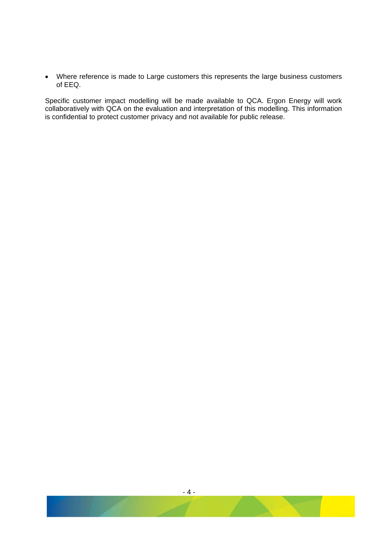• Where reference is made to Large customers this represents the large business customers of EEQ.

Specific customer impact modelling will be made available to QCA. Ergon Energy will work collaboratively with QCA on the evaluation and interpretation of this modelling. This information is confidential to protect customer privacy and not available for public release.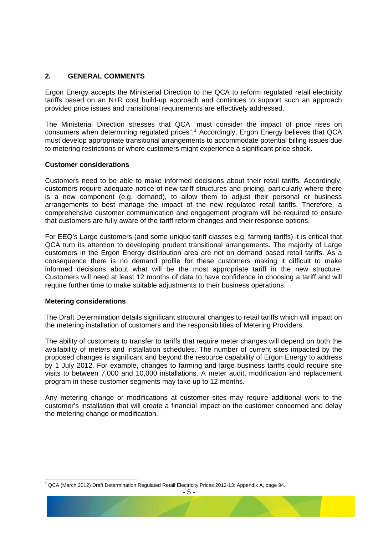## <span id="page-6-0"></span>**2. GENERAL COMMENTS**

Ergon Energy accepts the Ministerial Direction to the QCA to reform regulated retail electricity tariffs based on an N+R cost build-up approach and continues to support such an approach provided price issues and transitional requirements are effectively addressed.

The Ministerial Direction stresses that QCA "must consider the impact of price rises on consumers when determining regulated prices".<sup>[1](#page-6-1)</sup> Accordingly, Ergon Energy believes that QCA must develop appropriate transitional arrangements to accommodate potential billing issues due to metering restrictions or where customers might experience a significant price shock.

## **Customer considerations**

Customers need to be able to make informed decisions about their retail tariffs. Accordingly, customers require adequate notice of new tariff structures and pricing, particularly where there is a new component (e.g. demand), to allow them to adjust their personal or business arrangements to best manage the impact of the new regulated retail tariffs. Therefore, a comprehensive customer communication and engagement program will be required to ensure that customers are fully aware of the tariff reform changes and their response options.

For EEQ's Large customers (and some unique tariff classes e.g. farming tariffs) it is critical that QCA turn its attention to developing prudent transitional arrangements. The majority of Large customers in the Ergon Energy distribution area are not on demand based retail tariffs. As a consequence there is no demand profile for these customers making it difficult to make informed decisions about what will be the most appropriate tariff in the new structure. Customers will need at least 12 months of data to have confidence in choosing a tariff and will require further time to make suitable adjustments to their business operations.

#### **Metering considerations**

The Draft Determination details significant structural changes to retail tariffs which will impact on the metering installation of customers and the responsibilities of Metering Providers.

The ability of customers to transfer to tariffs that require meter changes will depend on both the availability of meters and installation schedules. The number of current sites impacted by the proposed changes is significant and beyond the resource capability of Ergon Energy to address by 1 July 2012. For example, changes to farming and large business tariffs could require site visits to between 7,000 and 10,000 installations. A meter audit, modification and replacement program in these customer segments may take up to 12 months.

Any metering change or modifications at customer sites may require additional work to the customer's installation that will create a financial impact on the customer concerned and delay the metering change or modification.

<span id="page-6-1"></span><sup>&</sup>lt;sup>1</sup> QCA (March 2012) Draft Determination Regulated Retail Electricity Prices 2012-13: Appendix A, page 94.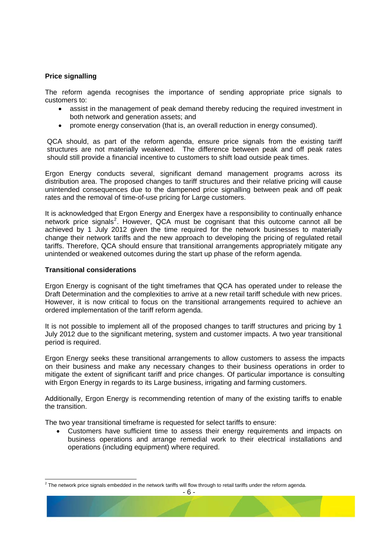## **Price signalling**

The reform agenda recognises the importance of sending appropriate price signals to customers to:

- assist in the management of peak demand thereby reducing the required investment in both network and generation assets; and
- promote energy conservation (that is, an overall reduction in energy consumed).

QCA should, as part of the reform agenda, ensure price signals from the existing tariff structures are not materially weakened. The difference between peak and off peak rates should still provide a financial incentive to customers to shift load outside peak times.

Ergon Energy conducts several, significant demand management programs across its distribution area. The proposed changes to tariff structures and their relative pricing will cause unintended consequences due to the dampened price signalling between peak and off peak rates and the removal of time-of-use pricing for Large customers.

It is acknowledged that Ergon Energy and Energex have a responsibility to continually enhance network price signals<sup>[2](#page-7-0)</sup>. However, QCA must be cognisant that this outcome cannot all be achieved by 1 July 2012 given the time required for the network businesses to materially change their network tariffs and the new approach to developing the pricing of regulated retail tariffs. Therefore, QCA should ensure that transitional arrangements appropriately mitigate any unintended or weakened outcomes during the start up phase of the reform agenda.

#### **Transitional considerations**

Ergon Energy is cognisant of the tight timeframes that QCA has operated under to release the Draft Determination and the complexities to arrive at a new retail tariff schedule with new prices. However, it is now critical to focus on the transitional arrangements required to achieve an ordered implementation of the tariff reform agenda.

It is not possible to implement all of the proposed changes to tariff structures and pricing by 1 July 2012 due to the significant metering, system and customer impacts. A two year transitional period is required.

Ergon Energy seeks these transitional arrangements to allow customers to assess the impacts on their business and make any necessary changes to their business operations in order to mitigate the extent of significant tariff and price changes. Of particular importance is consulting with Ergon Energy in regards to its Large business, irrigating and farming customers.

Additionally, Ergon Energy is recommending retention of many of the existing tariffs to enable the transition.

The two year transitional timeframe is requested for select tariffs to ensure:

• Customers have sufficient time to assess their energy requirements and impacts on business operations and arrange remedial work to their electrical installations and operations (including equipment) where required.

<span id="page-7-0"></span> $^2$  The network price signals embedded in the network tariffs will flow through to retail tariffs under the reform agenda.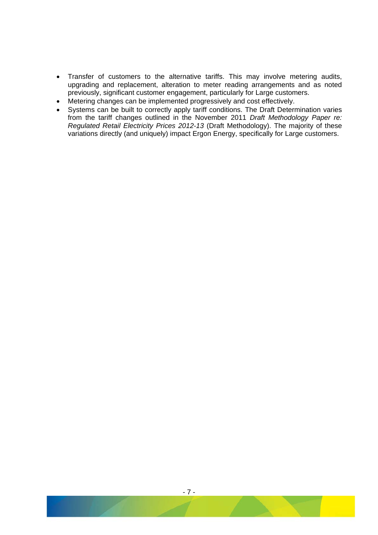- Transfer of customers to the alternative tariffs. This may involve metering audits, upgrading and replacement, alteration to meter reading arrangements and as noted previously, significant customer engagement, particularly for Large customers.
- Metering changes can be implemented progressively and cost effectively.
- Systems can be built to correctly apply tariff conditions. The Draft Determination varies from the tariff changes outlined in the November 2011 *Draft Methodology Paper re: Regulated Retail Electricity Prices 2012-13* (Draft Methodology). The majority of these variations directly (and uniquely) impact Ergon Energy, specifically for Large customers.

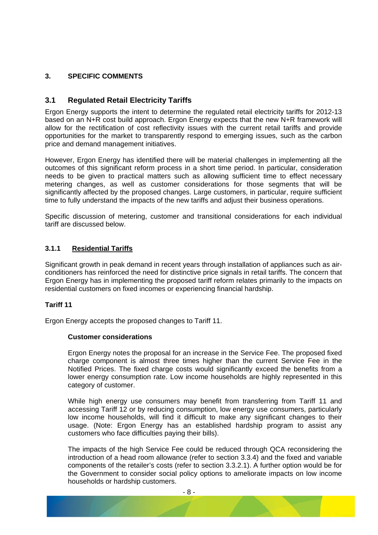## <span id="page-9-0"></span>**3. SPECIFIC COMMENTS**

## **3.1 Regulated Retail Electricity Tariffs**

Ergon Energy supports the intent to determine the regulated retail electricity tariffs for 2012-13 based on an N+R cost build approach. Ergon Energy expects that the new N+R framework will allow for the rectification of cost reflectivity issues with the current retail tariffs and provide opportunities for the market to transparently respond to emerging issues, such as the carbon price and demand management initiatives.

However, Ergon Energy has identified there will be material challenges in implementing all the outcomes of this significant reform process in a short time period. In particular, consideration needs to be given to practical matters such as allowing sufficient time to effect necessary metering changes, as well as customer considerations for those segments that will be significantly affected by the proposed changes. Large customers, in particular, require sufficient time to fully understand the impacts of the new tariffs and adjust their business operations.

Specific discussion of metering, customer and transitional considerations for each individual tariff are discussed below.

#### **3.1.1 Residential Tariffs**

Significant growth in peak demand in recent years through installation of appliances such as airconditioners has reinforced the need for distinctive price signals in retail tariffs. The concern that Ergon Energy has in implementing the proposed tariff reform relates primarily to the impacts on residential customers on fixed incomes or experiencing financial hardship.

#### **Tariff 11**

Ergon Energy accepts the proposed changes to Tariff 11.

#### **Customer considerations**

Ergon Energy notes the proposal for an increase in the Service Fee. The proposed fixed charge component is almost three times higher than the current Service Fee in the Notified Prices. The fixed charge costs would significantly exceed the benefits from a lower energy consumption rate. Low income households are highly represented in this category of customer.

While high energy use consumers may benefit from transferring from Tariff 11 and accessing Tariff 12 or by reducing consumption, low energy use consumers, particularly low income households, will find it difficult to make any significant changes to their usage. (Note: Ergon Energy has an established hardship program to assist any customers who face difficulties paying their bills).

The impacts of the high Service Fee could be reduced through QCA reconsidering the introduction of a head room allowance (refer to section [3.3.4](#page-26-1)) and the fixed and variable components of the retailer's costs (refer to section [3.3.2.1\)](#page-24-1). A further option would be for the Government to consider social policy options to ameliorate impacts on low income households or hardship customers.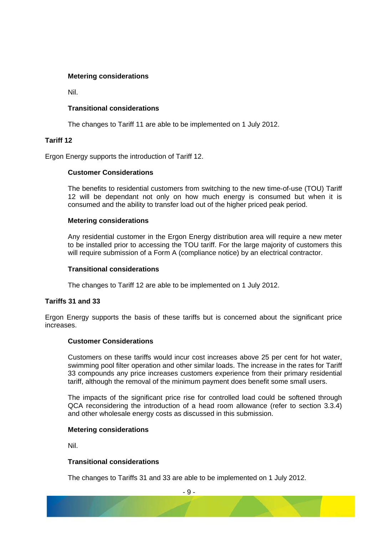## **Metering considerations**

Nil.

## **Transitional considerations**

The changes to Tariff 11 are able to be implemented on 1 July 2012.

## **Tariff 12**

Ergon Energy supports the introduction of Tariff 12.

#### **Customer Considerations**

The benefits to residential customers from switching to the new time-of-use (TOU) Tariff 12 will be dependant not only on how much energy is consumed but when it is consumed and the ability to transfer load out of the higher priced peak period.

#### **Metering considerations**

Any residential customer in the Ergon Energy distribution area will require a new meter to be installed prior to accessing the TOU tariff. For the large majority of customers this will require submission of a Form A (compliance notice) by an electrical contractor.

## **Transitional considerations**

The changes to Tariff 12 are able to be implemented on 1 July 2012.

## **Tariffs 31 and 33**

Ergon Energy supports the basis of these tariffs but is concerned about the significant price increases.

## **Customer Considerations**

Customers on these tariffs would incur cost increases above 25 per cent for hot water, swimming pool filter operation and other similar loads. The increase in the rates for Tariff 33 compounds any price increases customers experience from their primary residential tariff, although the removal of the minimum payment does benefit some small users.

The impacts of the significant price rise for controlled load could be softened through QCA reconsidering the introduction of a head room allowance (refer to section [3.3.4\)](#page-26-1) and other wholesale energy costs as discussed in this submission.

#### **Metering considerations**

Nil.

## **Transitional considerations**

The changes to Tariffs 31 and 33 are able to be implemented on 1 July 2012.

- 9 -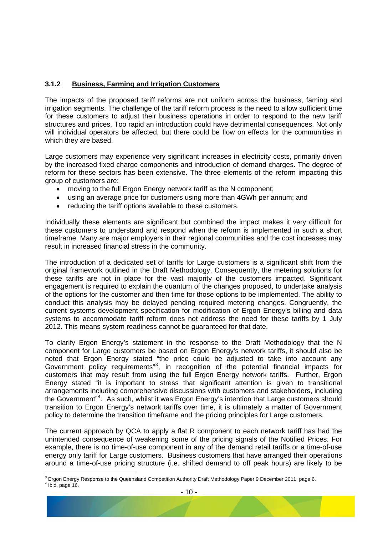## <span id="page-11-0"></span>**3.1.2 Business, Farming and Irrigation Customers**

The impacts of the proposed tariff reforms are not uniform across the business, faming and irrigation segments. The challenge of the tariff reform process is the need to allow sufficient time for these customers to adjust their business operations in order to respond to the new tariff structures and prices. Too rapid an introduction could have detrimental consequences. Not only will individual operators be affected, but there could be flow on effects for the communities in which they are based.

Large customers may experience very significant increases in electricity costs, primarily driven by the increased fixed charge components and introduction of demand charges. The degree of reform for these sectors has been extensive. The three elements of the reform impacting this group of customers are:

- moving to the full Ergon Energy network tariff as the N component;
- using an average price for customers using more than 4GWh per annum; and
- reducing the tariff options available to these customers.

Individually these elements are significant but combined the impact makes it very difficult for these customers to understand and respond when the reform is implemented in such a short timeframe. Many are major employers in their regional communities and the cost increases may result in increased financial stress in the community.

The introduction of a dedicated set of tariffs for Large customers is a significant shift from the original framework outlined in the Draft Methodology. Consequently, the metering solutions for these tariffs are not in place for the vast majority of the customers impacted. Significant engagement is required to explain the quantum of the changes proposed, to undertake analysis of the options for the customer and then time for those options to be implemented. The ability to conduct this analysis may be delayed pending required metering changes. Congruently, the current systems development specification for modification of Ergon Energy's billing and data systems to accommodate tariff reform does not address the need for these tariffs by 1 July 2012. This means system readiness cannot be guaranteed for that date.

To clarify Ergon Energy's statement in the response to the Draft Methodology that the N component for Large customers be based on Ergon Energy's network tariffs, it should also be noted that Ergon Energy stated "the price could be adjusted to take into account any Government policy requirements"<sup>[3](#page-11-1)</sup>, in recognition of the potential financial impacts for customers that may result from using the full Ergon Energy network tariffs. Further, Ergon Energy stated "it is important to stress that significant attention is given to transitional arrangements including comprehensive discussions with customers and stakeholders, including the Government"<sup>[4](#page-11-2)</sup>. As such, whilst it was Ergon Energy's intention that Large customers should transition to Ergon Energy's network tariffs over time, it is ultimately a matter of Government policy to determine the transition timeframe and the pricing principles for Large customers.

The current approach by QCA to apply a flat R component to each network tariff has had the unintended consequence of weakening some of the pricing signals of the Notified Prices. For example, there is no time-of-use component in any of the demand retail tariffs or a time-of-use energy only tariff for Large customers. Business customers that have arranged their operations around a time-of-use pricing structure (i.e. shifted demand to off peak hours) are likely to be

<span id="page-11-2"></span><span id="page-11-1"></span> $^3$  Ergon Energy Response to the Queensland Competition Authority Draft Methodology Paper 9 December 2011, page 6.<br>4 Ibid 2009.46  $4$  Ibid, page 16.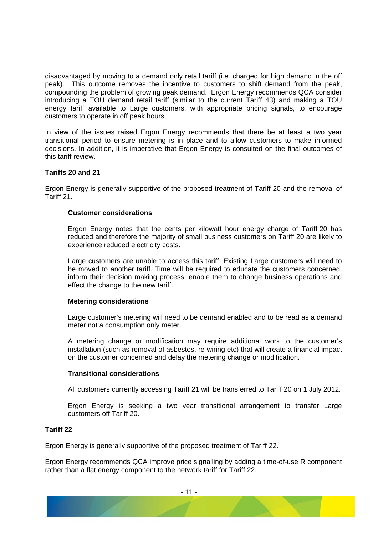disadvantaged by moving to a demand only retail tariff (i.e. charged for high demand in the off peak). This outcome removes the incentive to customers to shift demand from the peak, compounding the problem of growing peak demand. Ergon Energy recommends QCA consider introducing a TOU demand retail tariff (similar to the current Tariff 43) and making a TOU energy tariff available to Large customers, with appropriate pricing signals, to encourage customers to operate in off peak hours.

In view of the issues raised Ergon Energy recommends that there be at least a two year transitional period to ensure metering is in place and to allow customers to make informed decisions. In addition, it is imperative that Ergon Energy is consulted on the final outcomes of this tariff review.

## **Tariffs 20 and 21**

Ergon Energy is generally supportive of the proposed treatment of Tariff 20 and the removal of Tariff 21.

#### **Customer considerations**

Ergon Energy notes that the cents per kilowatt hour energy charge of Tariff 20 has reduced and therefore the majority of small business customers on Tariff 20 are likely to experience reduced electricity costs.

Large customers are unable to access this tariff. Existing Large customers will need to be moved to another tariff. Time will be required to educate the customers concerned, inform their decision making process, enable them to change business operations and effect the change to the new tariff.

## **Metering considerations**

Large customer's metering will need to be demand enabled and to be read as a demand meter not a consumption only meter.

A metering change or modification may require additional work to the customer's installation (such as removal of asbestos, re-wiring etc) that will create a financial impact on the customer concerned and delay the metering change or modification.

## **Transitional considerations**

All customers currently accessing Tariff 21 will be transferred to Tariff 20 on 1 July 2012.

Ergon Energy is seeking a two year transitional arrangement to transfer Large customers off Tariff 20.

## **Tariff 22**

Ergon Energy is generally supportive of the proposed treatment of Tariff 22.

Ergon Energy recommends QCA improve price signalling by adding a time-of-use R component rather than a flat energy component to the network tariff for Tariff 22.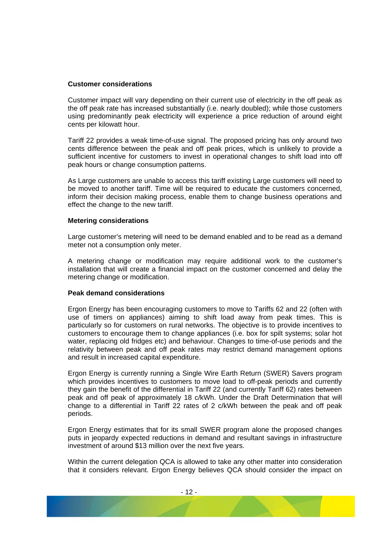#### **Customer considerations**

Customer impact will vary depending on their current use of electricity in the off peak as the off peak rate has increased substantially (i.e. nearly doubled); while those customers using predominantly peak electricity will experience a price reduction of around eight cents per kilowatt hour.

Tariff 22 provides a weak time-of-use signal. The proposed pricing has only around two cents difference between the peak and off peak prices, which is unlikely to provide a sufficient incentive for customers to invest in operational changes to shift load into off peak hours or change consumption patterns.

As Large customers are unable to access this tariff existing Large customers will need to be moved to another tariff. Time will be required to educate the customers concerned, inform their decision making process, enable them to change business operations and effect the change to the new tariff.

#### **Metering considerations**

Large customer's metering will need to be demand enabled and to be read as a demand meter not a consumption only meter.

A metering change or modification may require additional work to the customer's installation that will create a financial impact on the customer concerned and delay the metering change or modification.

#### **Peak demand considerations**

Ergon Energy has been encouraging customers to move to Tariffs 62 and 22 (often with use of timers on appliances) aiming to shift load away from peak times. This is particularly so for customers on rural networks. The objective is to provide incentives to customers to encourage them to change appliances (i.e. box for spilt systems; solar hot water, replacing old fridges etc) and behaviour. Changes to time-of-use periods and the relativity between peak and off peak rates may restrict demand management options and result in increased capital expenditure.

Ergon Energy is currently running a Single Wire Earth Return (SWER) Savers program which provides incentives to customers to move load to off-peak periods and currently they gain the benefit of the differential in Tariff 22 (and currently Tariff 62) rates between peak and off peak of approximately 18 c/kWh. Under the Draft Determination that will change to a differential in Tariff 22 rates of 2 c/kWh between the peak and off peak periods.

Ergon Energy estimates that for its small SWER program alone the proposed changes puts in jeopardy expected reductions in demand and resultant savings in infrastructure investment of around \$13 million over the next five years.

Within the current delegation QCA is allowed to take any other matter into consideration that it considers relevant. Ergon Energy believes QCA should consider the impact on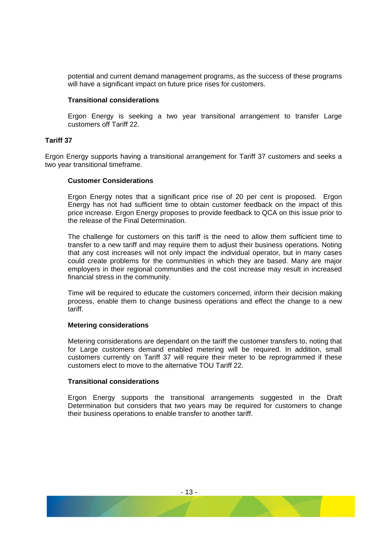potential and current demand management programs, as the success of these programs will have a significant impact on future price rises for customers.

#### **Transitional considerations**

Ergon Energy is seeking a two year transitional arrangement to transfer Large customers off Tariff 22.

#### **Tariff 37**

Ergon Energy supports having a transitional arrangement for Tariff 37 customers and seeks a two year transitional timeframe.

#### **Customer Considerations**

Ergon Energy notes that a significant price rise of 20 per cent is proposed. Ergon Energy has not had sufficient time to obtain customer feedback on the impact of this price increase. Ergon Energy proposes to provide feedback to QCA on this issue prior to the release of the Final Determination.

The challenge for customers on this tariff is the need to allow them sufficient time to transfer to a new tariff and may require them to adjust their business operations. Noting that any cost increases will not only impact the individual operator, but in many cases could create problems for the communities in which they are based. Many are major employers in their regional communities and the cost increase may result in increased financial stress in the community.

Time will be required to educate the customers concerned, inform their decision making process, enable them to change business operations and effect the change to a new tariff.

#### **Metering considerations**

Metering considerations are dependant on the tariff the customer transfers to, noting that for Large customers demand enabled metering will be required. In addition, small customers currently on Tariff 37 will require their meter to be reprogrammed if these customers elect to move to the alternative TOU Tariff 22.

#### **Transitional considerations**

Ergon Energy supports the transitional arrangements suggested in the Draft Determination but considers that two years may be required for customers to change their business operations to enable transfer to another tariff.

- 13 -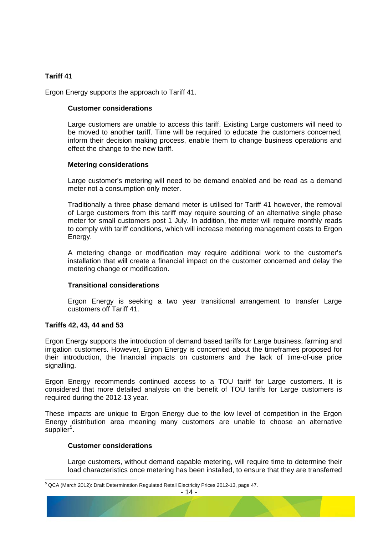## **Tariff 41**

Ergon Energy supports the approach to Tariff 41.

#### **Customer considerations**

Large customers are unable to access this tariff. Existing Large customers will need to be moved to another tariff. Time will be required to educate the customers concerned, inform their decision making process, enable them to change business operations and effect the change to the new tariff.

#### **Metering considerations**

Large customer's metering will need to be demand enabled and be read as a demand meter not a consumption only meter.

Traditionally a three phase demand meter is utilised for Tariff 41 however, the removal of Large customers from this tariff may require sourcing of an alternative single phase meter for small customers post 1 July. In addition, the meter will require monthly reads to comply with tariff conditions, which will increase metering management costs to Ergon Energy.

A metering change or modification may require additional work to the customer's installation that will create a financial impact on the customer concerned and delay the metering change or modification.

## **Transitional considerations**

Ergon Energy is seeking a two year transitional arrangement to transfer Large customers off Tariff 41.

## **Tariffs 42, 43, 44 and 53**

Ergon Energy supports the introduction of demand based tariffs for Large business, farming and irrigation customers. However, Ergon Energy is concerned about the timeframes proposed for their introduction, the financial impacts on customers and the lack of time-of-use price signalling.

Ergon Energy recommends continued access to a TOU tariff for Large customers. It is considered that more detailed analysis on the benefit of TOU tariffs for Large customers is required during the 2012-13 year.

These impacts are unique to Ergon Energy due to the low level of competition in the Ergon Energy distribution area meaning many customers are unable to choose an alternative  $supplier<sup>5</sup>$  $supplier<sup>5</sup>$  $supplier<sup>5</sup>$ .

#### **Customer considerations**

Large customers, without demand capable metering, will require time to determine their load characteristics once metering has been installed, to ensure that they are transferred

<span id="page-15-0"></span> <sup>5</sup> QCA (March 2012): Draft Determination Regulated Retail Electricity Prices 2012-13, page 47.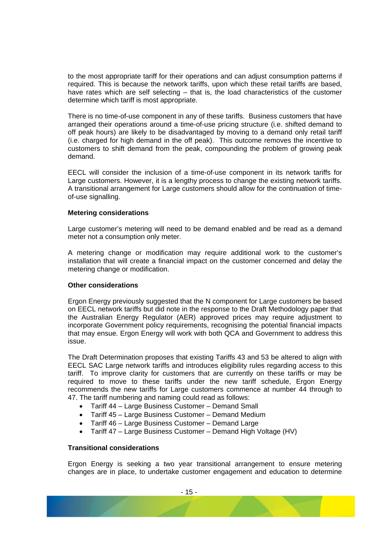to the most appropriate tariff for their operations and can adjust consumption patterns if required. This is because the network tariffs, upon which these retail tariffs are based, have rates which are self selecting – that is, the load characteristics of the customer determine which tariff is most appropriate.

There is no time-of-use component in any of these tariffs. Business customers that have arranged their operations around a time-of-use pricing structure (i.e. shifted demand to off peak hours) are likely to be disadvantaged by moving to a demand only retail tariff (i.e. charged for high demand in the off peak). This outcome removes the incentive to customers to shift demand from the peak, compounding the problem of growing peak demand.

EECL will consider the inclusion of a time-of-use component in its network tariffs for Large customers. However, it is a lengthy process to change the existing network tariffs. A transitional arrangement for Large customers should allow for the continuation of timeof-use signalling.

#### **Metering considerations**

Large customer's metering will need to be demand enabled and be read as a demand meter not a consumption only meter.

A metering change or modification may require additional work to the customer's installation that will create a financial impact on the customer concerned and delay the metering change or modification.

#### **Other considerations**

Ergon Energy previously suggested that the N component for Large customers be based on EECL network tariffs but did note in the response to the Draft Methodology paper that the Australian Energy Regulator (AER) approved prices may require adjustment to incorporate Government policy requirements, recognising the potential financial impacts that may ensue. Ergon Energy will work with both QCA and Government to address this issue.

The Draft Determination proposes that existing Tariffs 43 and 53 be altered to align with EECL SAC Large network tariffs and introduces eligibility rules regarding access to this tariff. To improve clarity for customers that are currently on these tariffs or may be required to move to these tariffs under the new tariff schedule, Ergon Energy recommends the new tariffs for Large customers commence at number 44 through to 47. The tariff numbering and naming could read as follows:

- Tariff 44 Large Business Customer Demand Small
- Tariff 45 Large Business Customer Demand Medium
- Tariff 46 Large Business Customer Demand Large
- Tariff 47 Large Business Customer Demand High Voltage (HV)

#### **Transitional considerations**

Ergon Energy is seeking a two year transitional arrangement to ensure metering changes are in place, to undertake customer engagement and education to determine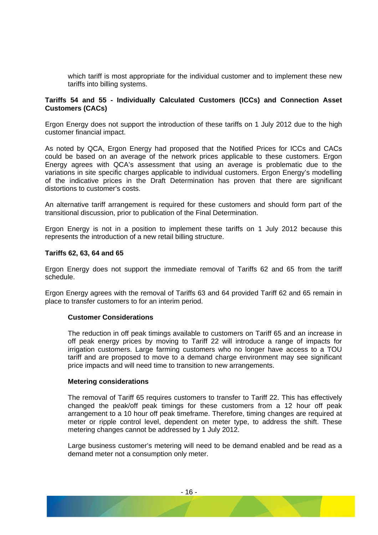which tariff is most appropriate for the individual customer and to implement these new tariffs into billing systems.

#### **Tariffs 54 and 55 - Individually Calculated Customers (ICCs) and Connection Asset Customers (CACs)**

Ergon Energy does not support the introduction of these tariffs on 1 July 2012 due to the high customer financial impact.

As noted by QCA, Ergon Energy had proposed that the Notified Prices for ICCs and CACs could be based on an average of the network prices applicable to these customers. Ergon Energy agrees with QCA's assessment that using an average is problematic due to the variations in site specific charges applicable to individual customers. Ergon Energy's modelling of the indicative prices in the Draft Determination has proven that there are significant distortions to customer's costs.

An alternative tariff arrangement is required for these customers and should form part of the transitional discussion, prior to publication of the Final Determination.

Ergon Energy is not in a position to implement these tariffs on 1 July 2012 because this represents the introduction of a new retail billing structure.

#### **Tariffs 62, 63, 64 and 65**

Ergon Energy does not support the immediate removal of Tariffs 62 and 65 from the tariff schedule.

Ergon Energy agrees with the removal of Tariffs 63 and 64 provided Tariff 62 and 65 remain in place to transfer customers to for an interim period.

#### **Customer Considerations**

The reduction in off peak timings available to customers on Tariff 65 and an increase in off peak energy prices by moving to Tariff 22 will introduce a range of impacts for irrigation customers. Large farming customers who no longer have access to a TOU tariff and are proposed to move to a demand charge environment may see significant price impacts and will need time to transition to new arrangements.

#### **Metering considerations**

The removal of Tariff 65 requires customers to transfer to Tariff 22. This has effectively changed the peak/off peak timings for these customers from a 12 hour off peak arrangement to a 10 hour off peak timeframe. Therefore, timing changes are required at meter or ripple control level, dependent on meter type, to address the shift. These metering changes cannot be addressed by 1 July 2012.

Large business customer's metering will need to be demand enabled and be read as a demand meter not a consumption only meter.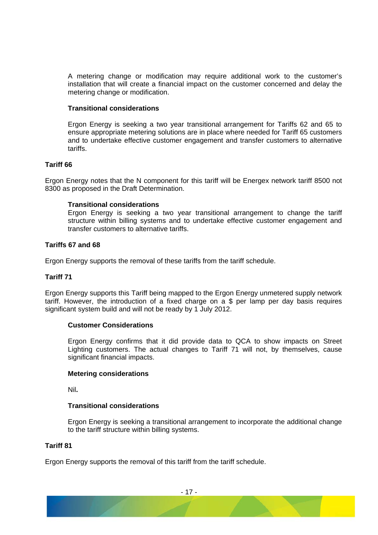A metering change or modification may require additional work to the customer's installation that will create a financial impact on the customer concerned and delay the metering change or modification.

#### **Transitional considerations**

Ergon Energy is seeking a two year transitional arrangement for Tariffs 62 and 65 to ensure appropriate metering solutions are in place where needed for Tariff 65 customers and to undertake effective customer engagement and transfer customers to alternative tariffs.

#### **Tariff 66**

Ergon Energy notes that the N component for this tariff will be Energex network tariff 8500 not 8300 as proposed in the Draft Determination.

#### **Transitional considerations**

Ergon Energy is seeking a two year transitional arrangement to change the tariff structure within billing systems and to undertake effective customer engagement and transfer customers to alternative tariffs.

#### **Tariffs 67 and 68**

Ergon Energy supports the removal of these tariffs from the tariff schedule.

#### **Tariff 71**

Ergon Energy supports this Tariff being mapped to the Ergon Energy unmetered supply network tariff. However, the introduction of a fixed charge on a \$ per lamp per day basis requires significant system build and will not be ready by 1 July 2012.

#### **Customer Considerations**

Ergon Energy confirms that it did provide data to QCA to show impacts on Street Lighting customers. The actual changes to Tariff 71 will not, by themselves, cause significant financial impacts.

#### **Metering considerations**

Nil**.** 

#### **Transitional considerations**

Ergon Energy is seeking a transitional arrangement to incorporate the additional change to the tariff structure within billing systems.

## **Tariff 81**

Ergon Energy supports the removal of this tariff from the tariff schedule.

- 17 -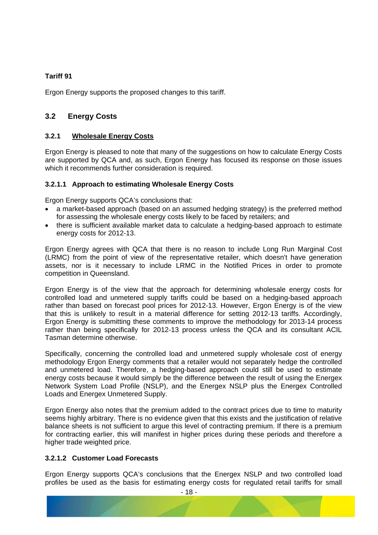## <span id="page-19-0"></span>**Tariff 91**

Ergon Energy supports the proposed changes to this tariff.

## **3.2 Energy Costs**

## **3.2.1 Wholesale Energy Costs**

Ergon Energy is pleased to note that many of the suggestions on how to calculate Energy Costs are supported by QCA and, as such, Ergon Energy has focused its response on those issues which it recommends further consideration is required.

## **3.2.1.1 Approach to estimating Wholesale Energy Costs**

Ergon Energy supports QCA's conclusions that:

- a market-based approach (based on an assumed hedging strategy) is the preferred method for assessing the wholesale energy costs likely to be faced by retailers; and
- there is sufficient available market data to calculate a hedging-based approach to estimate energy costs for 2012-13.

Ergon Energy agrees with QCA that there is no reason to include Long Run Marginal Cost (LRMC) from the point of view of the representative retailer, which doesn't have generation assets, nor is it necessary to include LRMC in the Notified Prices in order to promote competition in Queensland.

Ergon Energy is of the view that the approach for determining wholesale energy costs for controlled load and unmetered supply tariffs could be based on a hedging-based approach rather than based on forecast pool prices for 2012-13. However, Ergon Energy is of the view that this is unlikely to result in a material difference for setting 2012-13 tariffs. Accordingly, Ergon Energy is submitting these comments to improve the methodology for 2013-14 process rather than being specifically for 2012-13 process unless the QCA and its consultant ACIL Tasman determine otherwise.

Specifically, concerning the controlled load and unmetered supply wholesale cost of energy methodology Ergon Energy comments that a retailer would not separately hedge the controlled and unmetered load. Therefore, a hedging-based approach could still be used to estimate energy costs because it would simply be the difference between the result of using the Energex Network System Load Profile (NSLP), and the Energex NSLP plus the Energex Controlled Loads and Energex Unmetered Supply.

Ergon Energy also notes that the premium added to the contract prices due to time to maturity seems highly arbitrary. There is no evidence given that this exists and the justification of relative balance sheets is not sufficient to argue this level of contracting premium. If there is a premium for contracting earlier, this will manifest in higher prices during these periods and therefore a higher trade weighted price.

## **3.2.1.2 Customer Load Forecasts**

Ergon Energy supports QCA's conclusions that the Energex NSLP and two controlled load profiles be used as the basis for estimating energy costs for regulated retail tariffs for small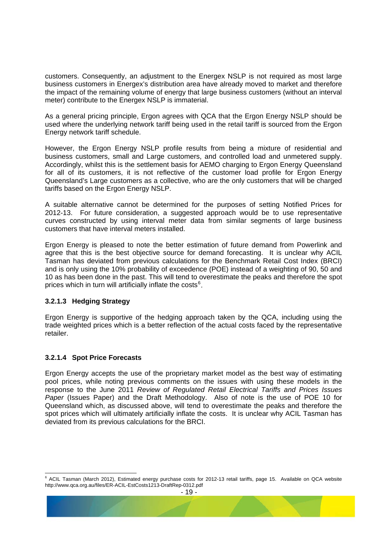customers. Consequently, an adjustment to the Energex NSLP is not required as most large business customers in Energex's distribution area have already moved to market and therefore the impact of the remaining volume of energy that large business customers (without an interval meter) contribute to the Energex NSLP is immaterial.

As a general pricing principle, Ergon agrees with QCA that the Ergon Energy NSLP should be used where the underlying network tariff being used in the retail tariff is sourced from the Ergon Energy network tariff schedule.

However, the Ergon Energy NSLP profile results from being a mixture of residential and business customers, small and Large customers, and controlled load and unmetered supply. Accordingly, whilst this is the settlement basis for AEMO charging to Ergon Energy Queensland for all of its customers, it is not reflective of the customer load profile for Ergon Energy Queensland's Large customers as a collective, who are the only customers that will be charged tariffs based on the Ergon Energy NSLP.

A suitable alternative cannot be determined for the purposes of setting Notified Prices for 2012-13. For future consideration, a suggested approach would be to use representative curves constructed by using interval meter data from similar segments of large business customers that have interval meters installed.

Ergon Energy is pleased to note the better estimation of future demand from Powerlink and agree that this is the best objective source for demand forecasting. It is unclear why ACIL Tasman has deviated from previous calculations for the Benchmark Retail Cost Index (BRCI) and is only using the 10% probability of exceedence (POE) instead of a weighting of 90, 50 and 10 as has been done in the past. This will tend to overestimate the peaks and therefore the spot prices which in turn will artificially inflate the costs $6$ .

## **3.2.1.3 Hedging Strategy**

Ergon Energy is supportive of the hedging approach taken by the QCA, including using the trade weighted prices which is a better reflection of the actual costs faced by the representative retailer.

## **3.2.1.4 Spot Price Forecasts**

Ergon Energy accepts the use of the proprietary market model as the best way of estimating pool prices, while noting previous comments on the issues with using these models in the response to the June 2011 *Review of Regulated Retail Electrical Tariffs and Prices Issues Paper* (Issues Paper) and the Draft Methodology. Also of note is the use of POE 10 for Queensland which, as discussed above, will tend to overestimate the peaks and therefore the spot prices which will ultimately artificially inflate the costs. It is unclear why ACIL Tasman has deviated from its previous calculations for the BRCI.

<span id="page-20-0"></span>e<br>6 ACIL Tasman (March 2012), Estimated energy purchase costs for 2012-13 retail tariffs, page 15. Available on QCA website http://www.qca.org.au/files/ER-ACIL-EstCosts1213-DraftRep-0312.pdf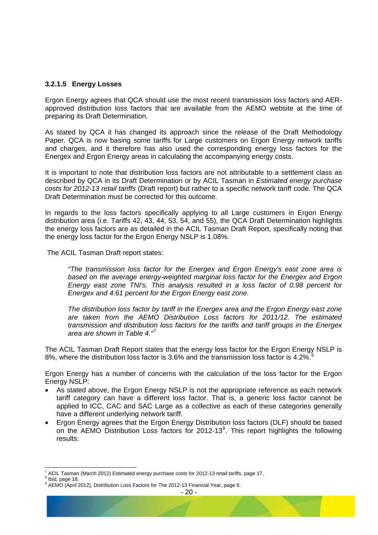#### **3.2.1.5 Energy Losses**

Ergon Energy agrees that QCA should use the most recent transmission loss factors and AERapproved distribution loss factors that are available from the AEMO website at the time of preparing its Draft Determination.

As stated by QCA it has changed its approach since the release of the Draft Methodology Paper. QCA is now basing some tariffs for Large customers on Ergon Energy network tariffs and charges, and it therefore has also used the corresponding energy loss factors for the Energex and Ergon Energy areas in calculating the accompanying energy costs.

It is important to note that distribution loss factors are not attributable to a settlement class as described by QCA in its Draft Determination or by ACIL Tasman in *Estimated energy purchase costs for 2012-13 retail tariffs* (Draft report) but rather to a specific network tariff code. The QCA Draft Determination must be corrected for this outcome.

In regards to the loss factors specifically applying to all Large customers in Ergon Energy distribution area (i.e. Tariffs 42, 43, 44, 53, 54, and 55), the QCA Draft Determination highlights the energy loss factors are as detailed in the ACIL Tasman Draft Report, specifically noting that the energy loss factor for the Ergon Energy NSLP is 1.08%.

The ACIL Tasman Draft report states:

*"The transmission loss factor for the Energex and Ergon Energy's east zone area is based on the average energy-weighted marginal loss factor for the Energex and Ergon Energy east zone TNI's. This analysis resulted in a loss factor of 0.98 percent for Energex and 4.61 percent for the Ergon Energy east zone.* 

*The distribution loss factor by tariff in the Energex area and the Ergon Energy east zone are taken from the AEMO Distribution Loss factors for 2011/12. The estimated transmission and distribution loss factors for the tariffs and tariff groups in the Energex area are shown in Table 4."[7](#page-21-0)*

The ACIL Tasman Draft Report states that the energy loss factor for the Ergon Energy NSLP is [8](#page-21-1)%, where the distribution loss factor is 3.6% and the transmission loss factor is 4.2%.<sup>8</sup>

Ergon Energy has a number of concerns with the calculation of the loss factor for the Ergon Energy NSLP:

- As stated above, the Ergon Energy NSLP is not the appropriate reference as each network tariff category can have a different loss factor. That is, a generic loss factor cannot be applied to ICC, CAC and SAC Large as a collective as each of these categories generally have a different underlying network tariff.
- Ergon Energy agrees that the Ergon Energy Distribution loss factors (DLF) should be based on the AEMO Distribution Loss factors for 2012-13 $^9$  $^9$ . This report highlights the following results:

<span id="page-21-0"></span> 7 ACIL Tasman (March 2012) Estimated energy purchase costs for 2012-13 retail tariffs, page 17.

<span id="page-21-1"></span><sup>8</sup> Ibid, page 18.

<span id="page-21-2"></span><sup>9</sup> AEMO (April 2012), Distribution Loss Factors for The 2012-13 Financial Year, page 6.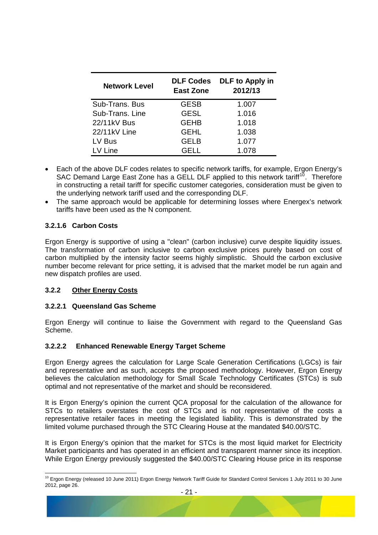<span id="page-22-0"></span>

| <b>Network Level</b> | <b>DLF Codes</b><br><b>East Zone</b> | DLF to Apply in<br>2012/13 |
|----------------------|--------------------------------------|----------------------------|
| Sub-Trans. Bus       | <b>GESB</b>                          | 1.007                      |
| Sub-Trans. Line      | <b>GESL</b>                          | 1.016                      |
| 22/11kV Bus          | <b>GEHB</b>                          | 1.018                      |
| 22/11kV Line         | <b>GEHL</b>                          | 1.038                      |
| LV Bus               | <b>GELB</b>                          | 1.077                      |
| LV Line              | GELL                                 | 1.078                      |

- Each of the above DLF codes relates to specific network tariffs, for example, Ergon Energy's SAC Demand Large East Zone has a GELL DLF applied to this network tariff<sup>[10](#page-22-1)</sup>. Therefore in constructing a retail tariff for specific customer categories, consideration must be given to the underlying network tariff used and the corresponding DLF.
- The same approach would be applicable for determining losses where Energex's network tariffs have been used as the N component.

## **3.2.1.6 Carbon Costs**

Ergon Energy is supportive of using a "clean" (carbon inclusive) curve despite liquidity issues. The transformation of carbon inclusive to carbon exclusive prices purely based on cost of carbon multiplied by the intensity factor seems highly simplistic. Should the carbon exclusive number become relevant for price setting, it is advised that the market model be run again and new dispatch profiles are used.

## **3.2.2 Other Energy Costs**

## **3.2.2.1 Queensland Gas Scheme**

Ergon Energy will continue to liaise the Government with regard to the Queensland Gas Scheme.

## **3.2.2.2 Enhanced Renewable Energy Target Scheme**

Ergon Energy agrees the calculation for Large Scale Generation Certifications (LGCs) is fair and representative and as such, accepts the proposed methodology. However, Ergon Energy believes the calculation methodology for Small Scale Technology Certificates (STCs) is sub optimal and not representative of the market and should be reconsidered.

It is Ergon Energy's opinion the current QCA proposal for the calculation of the allowance for STCs to retailers overstates the cost of STCs and is not representative of the costs a representative retailer faces in meeting the legislated liability. This is demonstrated by the limited volume purchased through the STC Clearing House at the mandated \$40.00/STC.

It is Ergon Energy's opinion that the market for STCs is the most liquid market for Electricity Market participants and has operated in an efficient and transparent manner since its inception. While Ergon Energy previously suggested the \$40.00/STC Clearing House price in its response

<span id="page-22-1"></span><sup>&</sup>lt;sup>10</sup> Ergon Energy (released 10 June 2011) Ergon Energy Network Tariff Guide for Standard Control Services 1 July 2011 to 30 June 2012, page 26.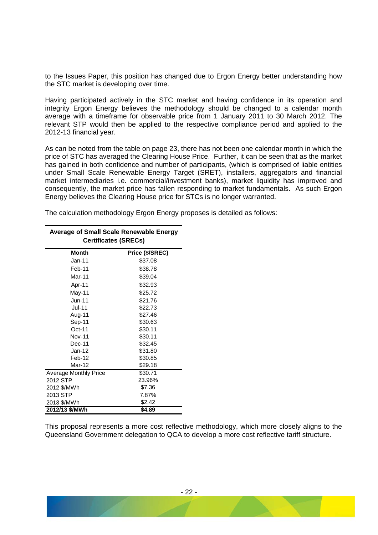to the Issues Paper, this position has changed due to Ergon Energy better understanding how the STC market is developing over time.

Having participated actively in the STC market and having confidence in its operation and integrity Ergon Energy believes the methodology should be changed to a calendar month average with a timeframe for observable price from 1 January 2011 to 30 March 2012. The relevant STP would then be applied to the respective compliance period and applied to the 2012-13 financial year.

As can be noted from the table on page 23, there has not been one calendar month in which the price of STC has averaged the Clearing House Price. Further, it can be seen that as the market has gained in both confidence and number of participants, (which is comprised of liable entities under Small Scale Renewable Energy Target (SRET), installers, aggregators and financial market intermediaries i.e. commercial/investment banks), market liquidity has improved and consequently, the market price has fallen responding to market fundamentals. As such Ergon Energy believes the Clearing House price for STCs is no longer warranted.

The calculation methodology Ergon Energy proposes is detailed as follows:

| <b>Average of Small Scale Renewable Energy</b><br><b>Certificates (SRECs)</b> |                 |  |
|-------------------------------------------------------------------------------|-----------------|--|
| <b>Month</b>                                                                  | Price (\$/SREC) |  |
| $Jan-11$                                                                      | \$37.08         |  |
| Feb-11                                                                        | \$38.78         |  |
| Mar-11                                                                        | \$39.04         |  |
| Apr-11                                                                        | \$32.93         |  |
| May-11                                                                        | \$25.72         |  |
| $Jun-11$                                                                      | \$21.76         |  |
| <b>Jul-11</b>                                                                 | \$22.73         |  |
| Aug-11                                                                        | \$27.46         |  |
| Sep-11                                                                        | \$30.63         |  |
| $Oct-11$                                                                      | \$30.11         |  |
| <b>Nov-11</b>                                                                 | \$30.11         |  |
| Dec-11                                                                        | \$32.45         |  |
| $Jan-12$                                                                      | \$31.80         |  |
| Feb-12                                                                        | \$30.85         |  |
| Mar-12                                                                        | \$29.18         |  |
| <b>Average Monthly Price</b>                                                  | \$30.71         |  |
| 2012 STP                                                                      | 23.96%          |  |
| 2012 \$/MWh                                                                   | \$7.36          |  |
| 2013 STP                                                                      | 7.87%           |  |
| 2013 \$/MWh                                                                   | \$2.42          |  |
| 2012/13 \$/MWh                                                                | \$4.89          |  |

This proposal represents a more cost reflective methodology, which more closely aligns to the Queensland Government delegation to QCA to develop a more cost reflective tariff structure.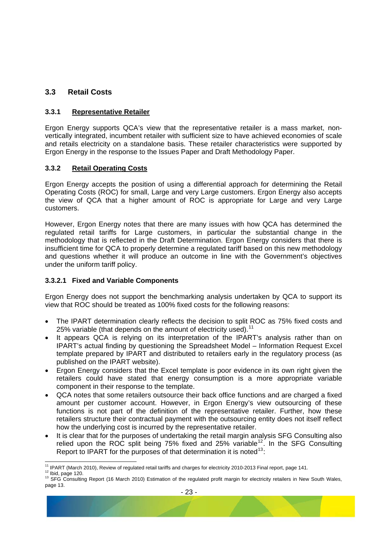## <span id="page-24-0"></span>**3.3 Retail Costs**

## **3.3.1 Representative Retailer**

Ergon Energy supports QCA's view that the representative retailer is a mass market, nonvertically integrated, incumbent retailer with sufficient size to have achieved economies of scale and retails electricity on a standalone basis. These retailer characteristics were supported by Ergon Energy in the response to the Issues Paper and Draft Methodology Paper.

## **3.3.2 Retail Operating Costs**

Ergon Energy accepts the position of using a differential approach for determining the Retail Operating Costs (ROC) for small, Large and very Large customers. Ergon Energy also accepts the view of QCA that a higher amount of ROC is appropriate for Large and very Large customers.

However, Ergon Energy notes that there are many issues with how QCA has determined the regulated retail tariffs for Large customers, in particular the substantial change in the methodology that is reflected in the Draft Determination. Ergon Energy considers that there is insufficient time for QCA to properly determine a regulated tariff based on this new methodology and questions whether it will produce an outcome in line with the Government's objectives under the uniform tariff policy.

## <span id="page-24-1"></span>**3.3.2.1 Fixed and Variable Components**

Ergon Energy does not support the benchmarking analysis undertaken by QCA to support its view that ROC should be treated as 100% fixed costs for the following reasons:

- The IPART determination clearly reflects the decision to split ROC as 75% fixed costs and 25% variable (that depends on the amount of electricity used).<sup>[11](#page-24-2)</sup>
- It appears QCA is relying on its interpretation of the IPART's analysis rather than on IPART's actual finding by questioning the Spreadsheet Model – Information Request Excel template prepared by IPART and distributed to retailers early in the regulatory process (as published on the IPART website).
- Ergon Energy considers that the Excel template is poor evidence in its own right given the retailers could have stated that energy consumption is a more appropriate variable component in their response to the template.
- QCA notes that some retailers outsource their back office functions and are charged a fixed amount per customer account. However, in Ergon Energy's view outsourcing of these functions is not part of the definition of the representative retailer. Further, how these retailers structure their contractual payment with the outsourcing entity does not itself reflect how the underlying cost is incurred by the representative retailer.
- It is clear that for the purposes of undertaking the retail margin analysis SFG Consulting also relied upon the ROC split being  $75\%$  fixed and  $25\%$  variable<sup>[12](#page-24-3)</sup>. In the SFG Consulting Report to IPART for the purposes of that determination it is noted  $13$ .

<span id="page-24-2"></span><sup>&</sup>lt;sup>11</sup> IPART (March 2010), Review of regulated retail tariffs and charges for electricity 2010-2013 Final report, page 141.

<span id="page-24-4"></span><span id="page-24-3"></span><sup>&</sup>lt;sup>12</sup> Ibid, page 120.<br><sup>12</sup> Ibid, page 120.<br><sup>13</sup> SFG Consulting Report (16 March 2010) Estimation of the regulated profit margin for electricity retailers in New South Wales, page 13.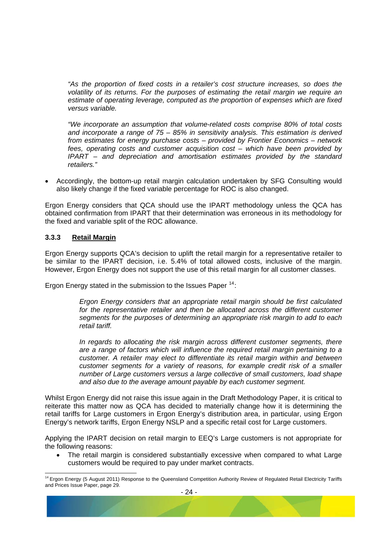<span id="page-25-0"></span>*"As the proportion of fixed costs in a retailer's cost structure increases, so does the volatility of its returns. For the purposes of estimating the retail margin we require an estimate of operating leverage, computed as the proportion of expenses which are fixed versus variable.* 

*"We incorporate an assumption that volume-related costs comprise 80% of total costs and incorporate a range of 75 – 85% in sensitivity analysis. This estimation is derived from estimates for energy purchase costs – provided by Frontier Economics – network fees, operating costs and customer acquisition cost – which have been provided by IPART – and depreciation and amortisation estimates provided by the standard retailers."* 

• Accordingly, the bottom-up retail margin calculation undertaken by SFG Consulting would also likely change if the fixed variable percentage for ROC is also changed.

Ergon Energy considers that QCA should use the IPART methodology unless the QCA has obtained confirmation from IPART that their determination was erroneous in its methodology for the fixed and variable split of the ROC allowance.

## **3.3.3 Retail Margin**

Ergon Energy supports QCA's decision to uplift the retail margin for a representative retailer to be similar to the IPART decision, i.e. 5.4% of total allowed costs, inclusive of the margin. However, Ergon Energy does not support the use of this retail margin for all customer classes.

Ergon Energy stated in the submission to the Issues Paper  $14$ :

*Ergon Energy considers that an appropriate retail margin should be first calculated*  for the representative retailer and then be allocated across the different customer *segments for the purposes of determining an appropriate risk margin to add to each retail tariff.* 

*In regards to allocating the risk margin across different customer segments, there are a range of factors which will influence the required retail margin pertaining to a customer. A retailer may elect to differentiate its retail margin within and between customer segments for a variety of reasons, for example credit risk of a smaller number of Large customers versus a large collective of small customers, load shape and also due to the average amount payable by each customer segment.* 

Whilst Ergon Energy did not raise this issue again in the Draft Methodology Paper, it is critical to reiterate this matter now as QCA has decided to materially change how it is determining the retail tariffs for Large customers in Ergon Energy's distribution area, in particular, using Ergon Energy's network tariffs, Ergon Energy NSLP and a specific retail cost for Large customers.

Applying the IPART decision on retail margin to EEQ's Large customers is not appropriate for the following reasons:

The retail margin is considered substantially excessive when compared to what Large customers would be required to pay under market contracts.

<span id="page-25-1"></span> <sup>14</sup> Ergon Energy (5 August 2011) Response to the Queensland Competition Authority Review of Regulated Retail Electricity Tariffs and Prices Issue Paper, page 29.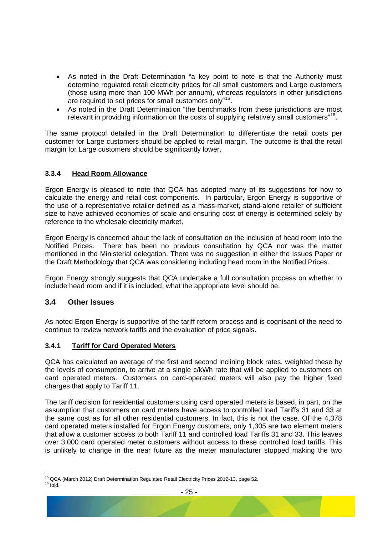- <span id="page-26-0"></span>• As noted in the Draft Determination "a key point to note is that the Authority must determine regulated retail electricity prices for all small customers and Large customers (those using more than 100 MWh per annum), whereas regulators in other jurisdictions are required to set prices for small customers only"[15](#page-26-2).
- As noted in the Draft Determination "the benchmarks from these iurisdictions are most relevant in providing information on the costs of supplying relatively small customers<sup>"[16](#page-26-3)</sup>.

The same protocol detailed in the Draft Determination to differentiate the retail costs per customer for Large customers should be applied to retail margin. The outcome is that the retail margin for Large customers should be significantly lower.

## <span id="page-26-1"></span>**3.3.4 Head Room Allowance**

Ergon Energy is pleased to note that QCA has adopted many of its suggestions for how to calculate the energy and retail cost components. In particular, Ergon Energy is supportive of the use of a representative retailer defined as a mass-market, stand-alone retailer of sufficient size to have achieved economies of scale and ensuring cost of energy is determined solely by reference to the wholesale electricity market.

Ergon Energy is concerned about the lack of consultation on the inclusion of head room into the Notified Prices. There has been no previous consultation by QCA nor was the matter mentioned in the Ministerial delegation. There was no suggestion in either the Issues Paper or the Draft Methodology that QCA was considering including head room in the Notified Prices.

Ergon Energy strongly suggests that QCA undertake a full consultation process on whether to include head room and if it is included, what the appropriate level should be.

## **3.4 Other Issues**

As noted Ergon Energy is supportive of the tariff reform process and is cognisant of the need to continue to review network tariffs and the evaluation of price signals.

## **3.4.1 Tariff for Card Operated Meters**

QCA has calculated an average of the first and second inclining block rates, weighted these by the levels of consumption, to arrive at a single c/kWh rate that will be applied to customers on card operated meters. Customers on card-operated meters will also pay the higher fixed charges that apply to Tariff 11.

The tariff decision for residential customers using card operated meters is based, in part, on the assumption that customers on card meters have access to controlled load Tariffs 31 and 33 at the same cost as for all other residential customers. In fact, this is not the case. Of the 4,378 card operated meters installed for Ergon Energy customers, only 1,305 are two element meters that allow a customer access to both Tariff 11 and controlled load Tariffs 31 and 33. This leaves over 3,000 card operated meter customers without access to these controlled load tariffs. This is unlikely to change in the near future as the meter manufacturer stopped making the two

<span id="page-26-3"></span><span id="page-26-2"></span> <sup>15</sup> QCA (March 2012) Draft Determination Regulated Retail Electricity Prices 2012-13, page 52.<br><sup>16</sup> Ibid.